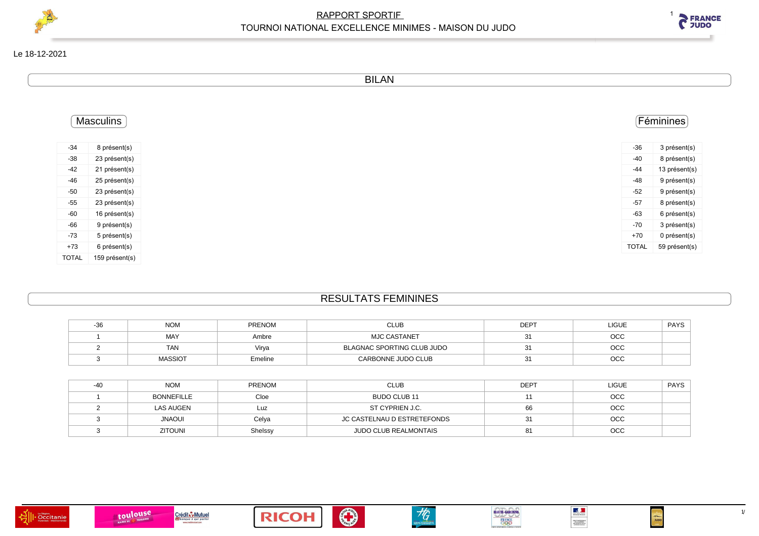



BILAN

|                | <b>Masculins</b> |
|----------------|------------------|
|                | 8 présent(s)     |
|                | 23 présent(s)    |
| 21 présent(s)  |                  |
| 25 présent(s)  |                  |
| 23 présent(s)  |                  |
| 23 présent(s)  |                  |
| 16 présent(s)  |                  |
| 9 présent(s)   |                  |
| 5 présent(s)   |                  |
| 6 présent(s)   |                  |
| 159 présent(s) |                  |

## RESULTATS FEMININES

| -30 | Nom            | <b>PRENOM</b> | <b>CLUB</b>                       | <b>DEPT</b> | <b>LIGUE</b> | <b>PAYS</b> |
|-----|----------------|---------------|-----------------------------------|-------------|--------------|-------------|
|     | MAY            | Ambre         | <b>MJC CASTANET</b>               |             | осс          |             |
|     | <b>TAN</b>     | Virva         | <b>BLAGNAC SPORTING CLUB JUDO</b> |             | осс          |             |
|     | <b>MASSIOT</b> | Emeline       | CARBONNE JUDO CLUB                |             | осс          |             |

| <b>NOM</b>        | PRENOM  | <b>CLUB</b>                  | <b>DEPT</b> | <b>LIGUE</b> | <b>PAYS</b> |
|-------------------|---------|------------------------------|-------------|--------------|-------------|
| <b>BONNEFILLE</b> | Cloe    | BUDO CLUB 11                 |             | OCC          |             |
| <b>LAS AUGEN</b>  | Luz     | ST CYPRIEN J.C.              |             | OCC          |             |
| <b>UOANL</b>      | Celya   | JC CASTELNAU D ESTRETEFONDS  |             | OCC          |             |
| <b>ZITOUNI</b>    | Shelssy | <b>JUDO CLUB REALMONTAIS</b> |             | OCC          |             |











 $\frac{1}{2}$ 

 $[0113,000010000011] \setlength{\unitlength}{0.034}{\begin{tabular}{l}p{0.033}{\bf 0.0343}{\bf 0.0343}{\bf 0.0343}{\bf 0.0343}{\bf 0.0343}{\bf 0.0343}{\bf 0.0343}{\bf 0.0343}{\bf 0.0343}{\bf 0.0343}{\bf 0.0343}{\bf 0.0343}{\bf 0.0343}{\bf 0.0343}{\bf 0.0343}{\bf 0.0343}{\bf 0.0343}{\bf$ 

 $\begin{picture}(180,170)(-20,170)(-20,170)(-20,170)(-20,170)(-20,170)(-20,170)(-20,170)(-20,170)(-20,170)(-20,170)(-20,170)(-20,170)(-20,170)(-20,170)(-20,170)(-20,170)(-20,170)(-20,170)(-20,170)(-20,170)(-20,170)(-20,170)(-20,170)(-20,170)(-20,170)(-20,170$ 

 $1/5$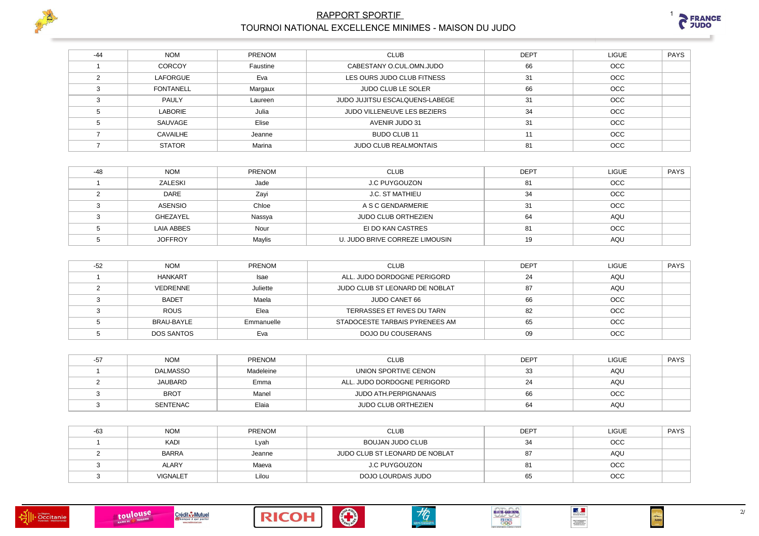



| $-44$ | <b>NOM</b>       | <b>PRENOM</b> | <b>CLUB</b>                    | <b>DEPT</b> | <b>LIGUE</b> | PAYS |
|-------|------------------|---------------|--------------------------------|-------------|--------------|------|
|       | <b>CORCOY</b>    | Faustine      | CABESTANY O.CUL.OMN.JUDO       | 66          | OCC          |      |
|       | LAFORGUE         | Eva           | LES OURS JUDO CLUB FITNESS     | 31          | <b>OCC</b>   |      |
|       | <b>FONTANELL</b> | Margaux       | <b>JUDO CLUB LE SOLER</b>      | 66          | <b>OCC</b>   |      |
|       | <b>PAULY</b>     | Laureen       | JUDO JUJITSU ESCALQUENS-LABEGE | 31          | <b>OCC</b>   |      |
|       | <b>LABORIE</b>   | Julia         | JUDO VILLENEUVE LES BEZIERS    | 34          | <b>OCC</b>   |      |
|       | SAUVAGE          | Elise         | AVENIR JUDO 31                 | 31          | OCC          |      |
|       | <b>CAVAILHE</b>  | Jeanne        | BUDO CLUB 11                   | 11          | <b>OCC</b>   |      |
|       | <b>STATOR</b>    | Marina        | <b>JUDO CLUB REALMONTAIS</b>   | 81          | <b>OCC</b>   |      |

| -48 | <b>NOM</b>     | <b>PRENOM</b> | <b>CLUB</b>                    | <b>DEPT</b> | <b>LIGUE</b> | <b>PAYS</b> |
|-----|----------------|---------------|--------------------------------|-------------|--------------|-------------|
|     | ZALESKI        | Jade          | <b>J.C PUYGOUZON</b>           | 81          | <b>OCC</b>   |             |
|     | <b>DARE</b>    | Zavi          | J.C. ST MATHIEU                | 34          | OCC          |             |
|     | ASENSIO        | Chloe         | A S C GENDARMERIE              | 31          | OCC          |             |
|     | GHEZAYEL       | Nassya        | <b>JUDO CLUB ORTHEZIEN</b>     | 64          | AQU          |             |
|     | LAIA ABBES     | Nour          | EI DO KAN CASTRES              | 81          | <b>OCC</b>   |             |
|     | <b>JOFFROY</b> | Maylis        | U. JUDO BRIVE CORREZE LIMOUSIN | 19          | AQU          |             |

| $-52$ | <b>NOM</b>        | <b>PRENOM</b> | <b>CLUB</b>                    | <b>DEPT</b> | LIGUE      | <b>PAYS</b> |
|-------|-------------------|---------------|--------------------------------|-------------|------------|-------------|
|       | <b>HANKART</b>    | <b>Isae</b>   | ALL. JUDO DORDOGNE PERIGORD    | 24          | AQU        |             |
|       | VEDRENNE          | Juliette      | JUDO CLUB ST LEONARD DE NOBLAT | 87          | <b>AQU</b> |             |
|       | <b>BADET</b>      | Maela         | JUDO CANET 66                  | 66          | OCC        |             |
|       | <b>ROUS</b>       | Elea          | TERRASSES ET RIVES DU TARN     | 82          | OCC        |             |
|       | BRAU-BAYLE        | Emmanuelle    | STADOCESTE TARBAIS PYRENEES AM | 65          | <b>OCC</b> |             |
|       | <b>DOS SANTOS</b> | Eva           | DOJO DU COUSERANS              | 09          | <b>OCC</b> |             |

| -57 | <b>NOM</b>  | <b>PRENOM</b> | CLUB                         | <b>DEPT</b> | <b>LIGUE</b> | <b>PAYS</b> |
|-----|-------------|---------------|------------------------------|-------------|--------------|-------------|
|     | DALMASSO    | Madeleine     | UNION SPORTIVE CENON         | 33          | AQU          |             |
|     | JAUBARD     | Emma          | ALL. JUDO DORDOGNE PERIGORD  | 24          | AQU          |             |
|     | <b>BROT</b> | Manel         | <b>JUDO ATH.PERPIGNANAIS</b> | 66          | <b>OCC</b>   |             |
|     | SENTENAC    | Elaia         | <b>JUDO CLUB ORTHEZIEN</b>   | 64          | AQU          |             |

| -63 | <b>NOM</b>      | <b>PRENOM</b> | <b>CLUB</b>                    | <b>DEPT</b> | LIGUE      | <b>PAYS</b> |
|-----|-----------------|---------------|--------------------------------|-------------|------------|-------------|
|     | <b>KADI</b>     | Lyah          | BOUJAN JUDO CLUB               |             | <b>OCC</b> |             |
|     | <b>BARRA</b>    | Jeanne        | JUDO CLUB ST LEONARD DE NOBLAT |             | AQU        |             |
|     | <b>ALARY</b>    | Maeva         | <b>J.C PUYGOUZON</b>           |             | <b>OCC</b> |             |
|     | <b>VIGNALET</b> | Lilou         | DOJO LOURDAIS JUDO             | ხ5          | OCC        |             |











 $2/$ 

 $\frac{1}{\sqrt{2}}$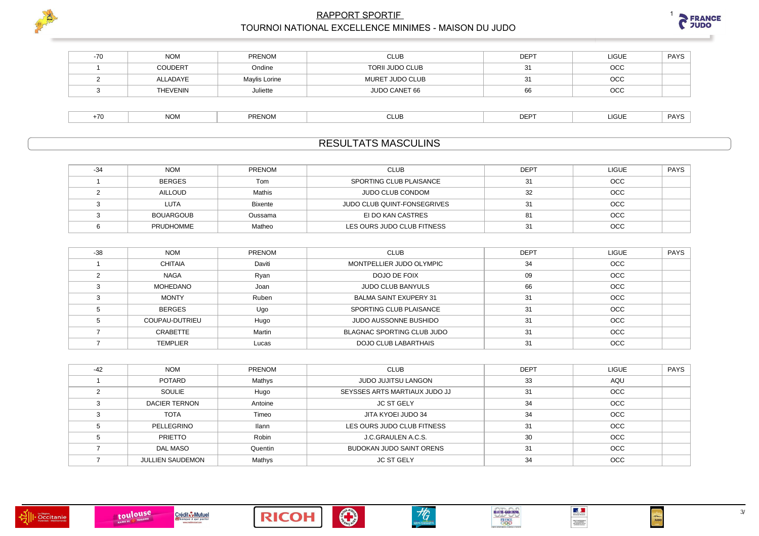



| $-70$ | <b>NOM</b>      | PRENOM        | CLUB                   | DEF | LIGUE      | <b>PAYS</b> |
|-------|-----------------|---------------|------------------------|-----|------------|-------------|
|       | <b>COUDERT</b>  | Ondine        | <b>TORII JUDO CLUB</b> |     | <b>OCC</b> |             |
|       | ALLADAYE        | Maylis Lorine | MURET JUDO CLUB        |     | <b>OCC</b> |             |
|       | <b>THEVENIN</b> | Juliette      | JUDO CANET 66          |     | <b>OCC</b> |             |
|       |                 |               |                        |     |            |             |

|  | <b>NOM</b> | <b>PRENOM</b> | ◡∟∪⋻ | DPM<br>∟י | 1011<br>ייטע | <b>PAYS</b><br>. |
|--|------------|---------------|------|-----------|--------------|------------------|
|--|------------|---------------|------|-----------|--------------|------------------|

# **RESULTATS MASCULINS**

| -34 | <b>NOM</b>       | <b>PRENOM</b>  | <b>CLUB</b>                 | <b>DEPT</b> | <b>LIGUE</b> | <b>PAYS</b> |
|-----|------------------|----------------|-----------------------------|-------------|--------------|-------------|
|     | <b>BERGES</b>    | Tom            | SPORTING CLUB PLAISANCE     |             | OCC          |             |
|     | AILLOUD          | Mathis         | JUDO CLUB CONDOM            | 32          | <b>OCC</b>   |             |
|     | <b>LUTA</b>      | <b>Bixente</b> | JUDO CLUB QUINT-FONSEGRIVES | ا د         | <b>OCC</b>   |             |
|     | BOUARGOUB        | Oussama        | EI DO KAN CASTRES           |             | OCC          |             |
|     | <b>PRUDHOMME</b> | Matheo         | LES OURS JUDO CLUB FITNESS  |             | <b>OCC</b>   |             |

| $-38$ | <b>NOM</b>      | <b>PRENOM</b> | <b>CLUB</b>                   | <b>DEPT</b> | <b>LIGUE</b> | <b>PAYS</b> |
|-------|-----------------|---------------|-------------------------------|-------------|--------------|-------------|
|       | <b>CHITAIA</b>  | Daviti        | MONTPELLIER JUDO OLYMPIC      | 34          | <b>OCC</b>   |             |
|       | <b>NAGA</b>     | Ryan          | DOJO DE FOIX                  | 09          | OCC          |             |
|       | MOHEDANO        | Joan          | <b>JUDO CLUB BANYULS</b>      | 66          | OCC          |             |
|       | <b>MONTY</b>    | Ruben         | <b>BALMA SAINT EXUPERY 31</b> | 31          | <b>OCC</b>   |             |
|       | <b>BERGES</b>   | Ugo           | SPORTING CLUB PLAISANCE       | 31          | <b>OCC</b>   |             |
|       | COUPAU-DUTRIEU  | Hugo          | <b>JUDO AUSSONNE BUSHIDO</b>  | 31          | <b>OCC</b>   |             |
|       | CRABETTE        | Martin        | BLAGNAC SPORTING CLUB JUDO    | 31          | OCC          |             |
|       | <b>TEMPLIER</b> | Lucas         | DOJO CLUB LABARTHAIS          | 31          | OCC          |             |

| $-42$ | <b>NOM</b>              | <b>PRENOM</b> | <b>CLUB</b>                   | <b>DEPT</b> | <b>LIGUE</b> | <b>PAYS</b> |
|-------|-------------------------|---------------|-------------------------------|-------------|--------------|-------------|
|       | <b>POTARD</b>           | Mathys        | <b>JUDO JUJITSU LANGON</b>    | 33          | AQU          |             |
|       | SOULIE                  | Hugo          | SEYSSES ARTS MARTIAUX JUDO JJ | 31          | <b>OCC</b>   |             |
|       | <b>DACIER TERNON</b>    | Antoine       | <b>JC ST GELY</b>             | 34          | OCC          |             |
|       | <b>TOTA</b>             | Timeo         | JITA KYOEI JUDO 34            | 34          | <b>OCC</b>   |             |
|       | PELLEGRINO              | <b>Ilann</b>  | LES OURS JUDO CLUB FITNESS    | 31          | OCC          |             |
|       | PRIETTO                 | Robin         | J.C.GRAULEN A.C.S.            | 30          | <b>OCC</b>   |             |
|       | DAL MASO                | Quentin       | BUDOKAN JUDO SAINT ORENS      | 31          | OCC          |             |
|       | <b>JULLIEN SAUDEMON</b> | Mathys        | <b>JC ST GELY</b>             | 34          | <b>OCC</b>   |             |











 $\frac{1}{2}$ 

 $[0113,000010000011] \setlength{\unitlength}{0.034}{\begin{tabular}{l}p{0.033}{\bf 0.0343}{\bf 0.0343}{\bf 0.0343}{\bf 0.0343}{\bf 0.0343}{\bf 0.0343}{\bf 0.0343}{\bf 0.0343}{\bf 0.0343}{\bf 0.0343}{\bf 0.0343}{\bf 0.0343}{\bf 0.0343}{\bf 0.0343}{\bf 0.0343}{\bf 0.0343}{\bf 0.0343}{\bf$ 

 $\frac{1}{\sqrt{2}}$ 

 $3/$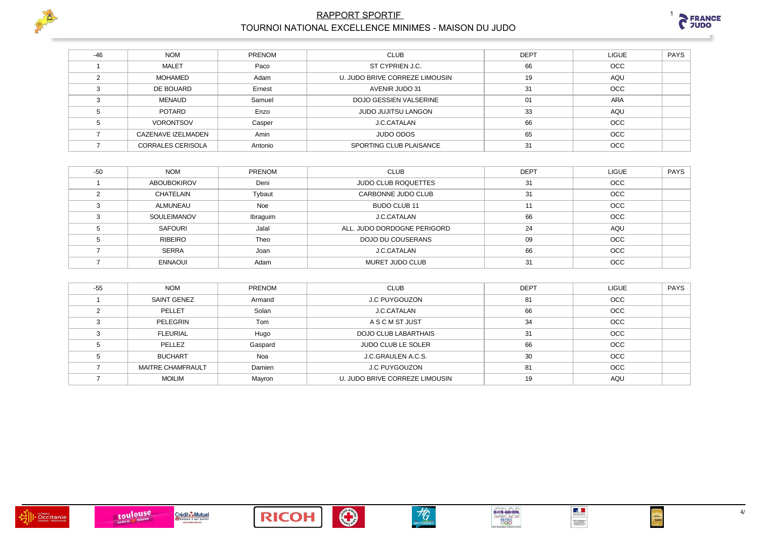



| $-46$ | <b>NOM</b>               | PRENOM  | <b>CLUB</b>                    | <b>DEPT</b> | <b>LIGUE</b> | PAYS |
|-------|--------------------------|---------|--------------------------------|-------------|--------------|------|
|       | <b>MALET</b>             | Paco    | ST CYPRIEN J.C.                | 66          | <b>OCC</b>   |      |
|       | MOHAMED                  | Adam    | U. JUDO BRIVE CORREZE LIMOUSIN | 19          | AQU          |      |
|       | DE BOUARD                | Ernest  | AVENIR JUDO 31                 | 31          | <b>OCC</b>   |      |
|       | MENAUD                   | Samuel  | DOJO GESSIEN VALSERINE         | 01          | <b>ARA</b>   |      |
|       | <b>POTARD</b>            | Enzo    | <b>JUDO JUJITSU LANGON</b>     | 33          | AQU          |      |
|       | <b>VORONTSOV</b>         | Casper  | J.C.CATALAN                    | 66          | OCC          |      |
|       | CAZENAVE IZELMADEN       | Amin    | <b>JUDO ODOS</b>               | 65          | OCC          |      |
|       | <b>CORRALES CERISOLA</b> | Antonio | SPORTING CLUB PLAISANCE        | 31          | <b>OCC</b>   |      |

| $-50$ | <b>NOM</b>         | PRENOM   | <b>CLUB</b>                 | <b>DEPT</b> | <b>LIGUE</b> | PAYS |
|-------|--------------------|----------|-----------------------------|-------------|--------------|------|
|       | <b>ABOUBOKIROV</b> | Deni     | <b>JUDO CLUB ROQUETTES</b>  | 31          | OCC          |      |
|       | CHATELAIN          | Tybaut   | CARBONNE JUDO CLUB          | 31          | <b>OCC</b>   |      |
|       | ALMUNEAU           | Noe      | BUDO CLUB 11                | 11          | <b>OCC</b>   |      |
|       | SOULEIMANOV        | Ibraguim | J.C.CATALAN                 | 66          | <b>OCC</b>   |      |
|       | SAFOURI            | Jalal    | ALL. JUDO DORDOGNE PERIGORD | 24          | AQU          |      |
|       | RIBEIRO            | Theo     | DOJO DU COUSERANS           | 09          | <b>OCC</b>   |      |
|       | <b>SERRA</b>       | Joan     | <b>J.C.CATALAN</b>          | 66          | <b>OCC</b>   |      |
|       | <b>ENNAOUI</b>     | Adam     | MURET JUDO CLUB             | 31          | <b>OCC</b>   |      |

| $-55$ | <b>NOM</b>               | <b>PRENOM</b> | <b>CLUB</b>                    | <b>DEPT</b> | <b>LIGUE</b> | <b>PAYS</b> |
|-------|--------------------------|---------------|--------------------------------|-------------|--------------|-------------|
|       | SAINT GENEZ              | Armand        | <b>J.C PUYGOUZON</b>           | 81          | <b>OCC</b>   |             |
|       | PELLET                   | Solan         | J.C.CATALAN                    | 66          | OCC          |             |
|       | PELEGRIN                 | Tom           | A S C M ST JUST                | 34          | <b>OCC</b>   |             |
|       | <b>FLEURIAL</b>          | Hugo          | <b>DOJO CLUB LABARTHAIS</b>    | 31          | <b>OCC</b>   |             |
|       | PELLEZ                   | Gaspard       | <b>JUDO CLUB LE SOLER</b>      | 66          | <b>OCC</b>   |             |
|       | <b>BUCHART</b>           | Noa           | J.C.GRAULEN A.C.S.             | 30          | OCC          |             |
|       | <b>MAITRE CHAMFRAULT</b> | Damien        | <b>J.C PUYGOUZON</b>           | 81          | OCC          |             |
|       | <b>MOILIM</b>            | Mayron        | U. JUDO BRIVE CORREZE LIMOUSIN | 19          | AQU          |             |









 $4/$ 

 $\frac{1}{\sqrt{2}}$